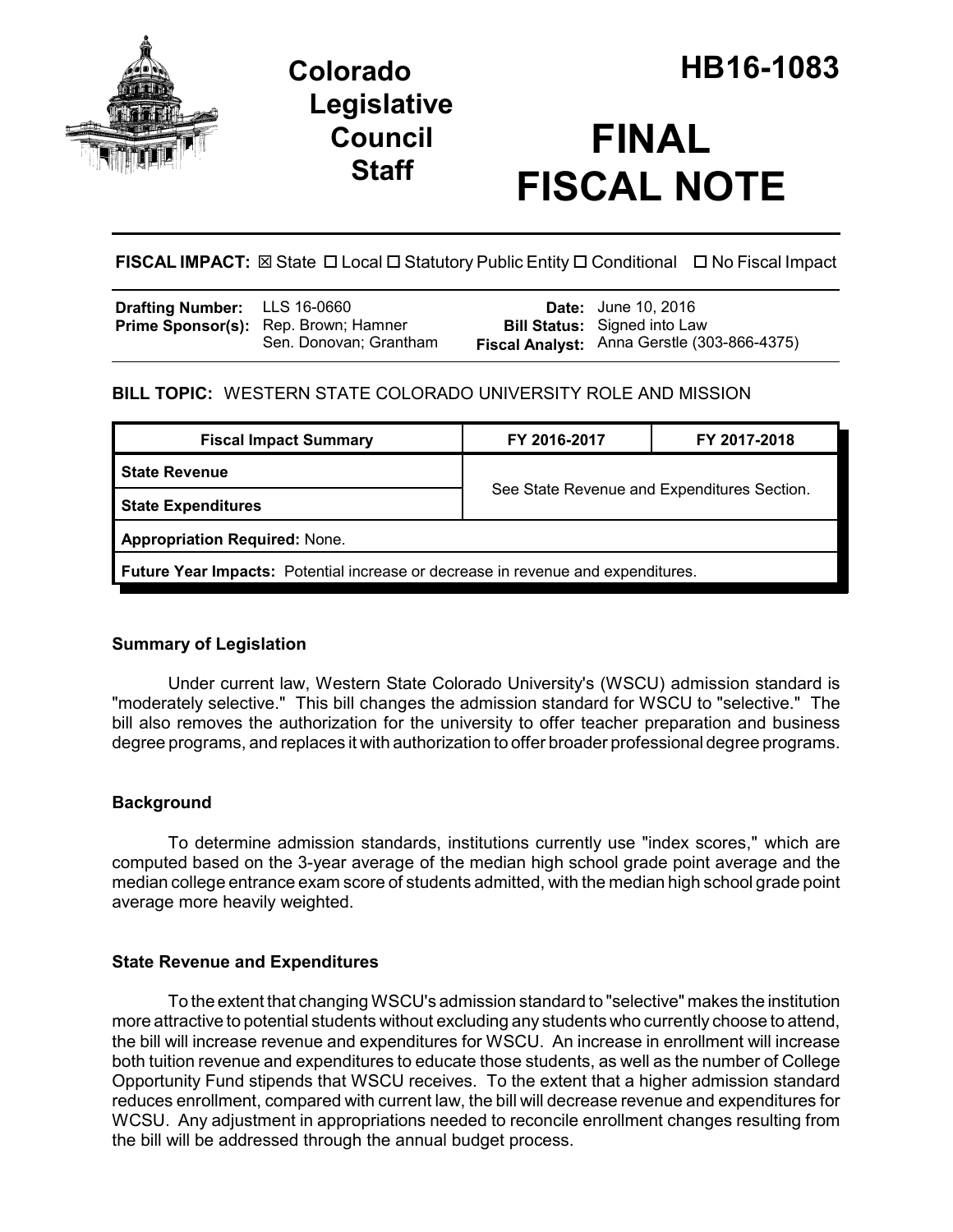

## **Legislative Council Staff**

# **FINAL FISCAL NOTE**

**FISCAL IMPACT:** ⊠ State □ Local □ Statutory Public Entity □ Conditional □ No Fiscal Impact

| <b>Drafting Number:</b> LLS 16-0660 |                                                                | <b>Date:</b> June 10, 2016                                                         |
|-------------------------------------|----------------------------------------------------------------|------------------------------------------------------------------------------------|
|                                     | Prime Sponsor(s): Rep. Brown; Hamner<br>Sen. Donovan; Grantham | <b>Bill Status:</b> Signed into Law<br>Fiscal Analyst: Anna Gerstle (303-866-4375) |

## **BILL TOPIC:** WESTERN STATE COLORADO UNIVERSITY ROLE AND MISSION

| <b>Fiscal Impact Summary</b>                                                            | FY 2016-2017                                | FY 2017-2018 |  |  |  |
|-----------------------------------------------------------------------------------------|---------------------------------------------|--------------|--|--|--|
| <b>State Revenue</b>                                                                    | See State Revenue and Expenditures Section. |              |  |  |  |
| <b>State Expenditures</b>                                                               |                                             |              |  |  |  |
| <b>Appropriation Required: None.</b>                                                    |                                             |              |  |  |  |
| <b>Future Year Impacts:</b> Potential increase or decrease in revenue and expenditures. |                                             |              |  |  |  |

### **Summary of Legislation**

Under current law, Western State Colorado University's (WSCU) admission standard is "moderately selective." This bill changes the admission standard for WSCU to "selective." The bill also removes the authorization for the university to offer teacher preparation and business degree programs, and replaces it with authorization to offer broader professional degree programs.

## **Background**

To determine admission standards, institutions currently use "index scores," which are computed based on the 3-year average of the median high school grade point average and the median college entrance exam score of students admitted, with the median high school grade point average more heavily weighted.

## **State Revenue and Expenditures**

To the extent that changing WSCU's admission standard to "selective" makes the institution more attractive to potential students without excluding any students who currently choose to attend, the bill will increase revenue and expenditures for WSCU. An increase in enrollment will increase both tuition revenue and expenditures to educate those students, as well as the number of College Opportunity Fund stipends that WSCU receives. To the extent that a higher admission standard reduces enrollment, compared with current law, the bill will decrease revenue and expenditures for WCSU. Any adjustment in appropriations needed to reconcile enrollment changes resulting from the bill will be addressed through the annual budget process.